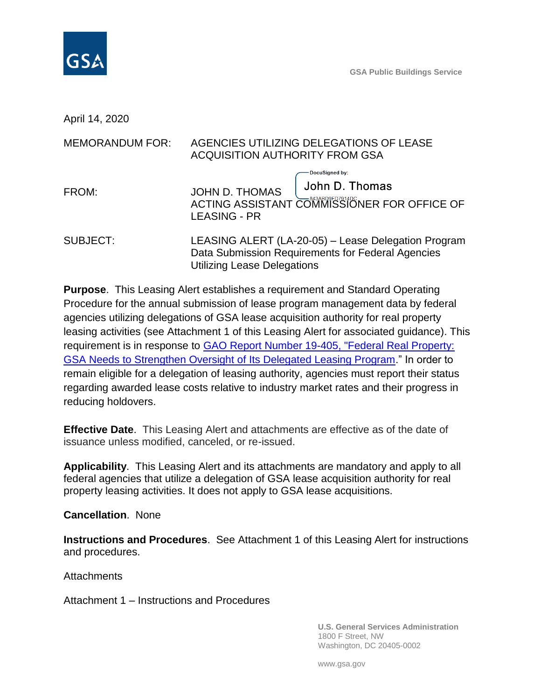

April 14, 2020

| <b>MEMORANDUM FOR:</b> | AGENCIES UTILIZING DELEGATIONS OF LEASE<br><b>ACQUISITION AUTHORITY FROM GSA</b>                                                               |
|------------------------|------------------------------------------------------------------------------------------------------------------------------------------------|
| FROM:                  | DocuSigned by:<br>John D. Thomas<br>JOHN D. THOMAS<br>ACTING ASSISTANT COMMISSIONER FOR OFFICE OF<br><b>LEASING - PR</b>                       |
| <b>SUBJECT:</b>        | LEASING ALERT (LA-20-05) - Lease Delegation Program<br>Data Submission Requirements for Federal Agencies<br><b>Utilizing Lease Delegations</b> |

**Purpose**. This Leasing Alert establishes a requirement and Standard Operating Procedure for the annual submission of lease program management data by federal agencies utilizing delegations of GSA lease acquisition authority for real property leasing activities (see Attachment 1 of this Leasing Alert for associated guidance). This requirement is in response to [GAO Report Number 19-405, "Federal Real Property:](https://www.gao.gov/assets/700/699463.pdf)  [GSA Needs to Strengthen Oversight of Its Delegated Leasing Program.](https://www.gao.gov/assets/700/699463.pdf)" In order to remain eligible for a delegation of leasing authority, agencies must report their status regarding awarded lease costs relative to industry market rates and their progress in reducing holdovers.

**Effective Date**. This Leasing Alert and attachments are effective as of the date of issuance unless modified, canceled, or re-issued.

**Applicability**. This Leasing Alert and its attachments are mandatory and apply to all federal agencies that utilize a delegation of GSA lease acquisition authority for real property leasing activities. It does not apply to GSA lease acquisitions.

**Cancellation**. None

**Instructions and Procedures**. See Attachment 1 of this Leasing Alert for instructions and procedures.

**Attachments** 

Attachment 1 – Instructions and Procedures

**U.S. General Services Administration** 1800 F Street, NW Washington, DC 20405-0002

www.gsa.gov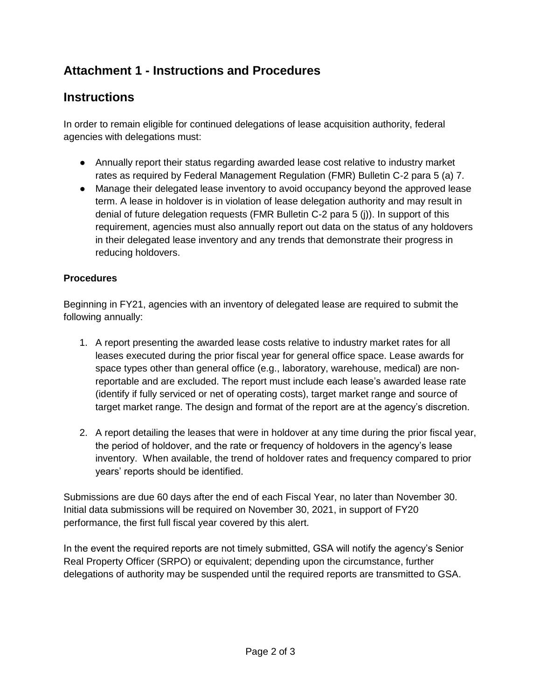## **Attachment 1 - Instructions and Procedures**

## **Instructions**

In order to remain eligible for continued delegations of lease acquisition authority, federal agencies with delegations must:

- Annually report their status regarding awarded lease cost relative to industry market rates as required by Federal Management Regulation (FMR) Bulletin C-2 para 5 (a) 7.
- Manage their delegated lease inventory to avoid occupancy beyond the approved lease term. A lease in holdover is in violation of lease delegation authority and may result in denial of future delegation requests (FMR Bulletin C-2 para 5 (j)). In support of this requirement, agencies must also annually report out data on the status of any holdovers in their delegated lease inventory and any trends that demonstrate their progress in reducing holdovers.

## **Procedures**

Beginning in FY21, agencies with an inventory of delegated lease are required to submit the following annually:

- 1. A report presenting the awarded lease costs relative to industry market rates for all leases executed during the prior fiscal year for general office space. Lease awards for space types other than general office (e.g., laboratory, warehouse, medical) are nonreportable and are excluded. The report must include each lease's awarded lease rate (identify if fully serviced or net of operating costs), target market range and source of target market range. The design and format of the report are at the agency's discretion.
- 2. A report detailing the leases that were in holdover at any time during the prior fiscal year, the period of holdover, and the rate or frequency of holdovers in the agency's lease inventory. When available, the trend of holdover rates and frequency compared to prior years' reports should be identified.

Submissions are due 60 days after the end of each Fiscal Year, no later than November 30. Initial data submissions will be required on November 30, 2021, in support of FY20 performance, the first full fiscal year covered by this alert.

In the event the required reports are not timely submitted, GSA will notify the agency's Senior Real Property Officer (SRPO) or equivalent; depending upon the circumstance, further delegations of authority may be suspended until the required reports are transmitted to GSA.